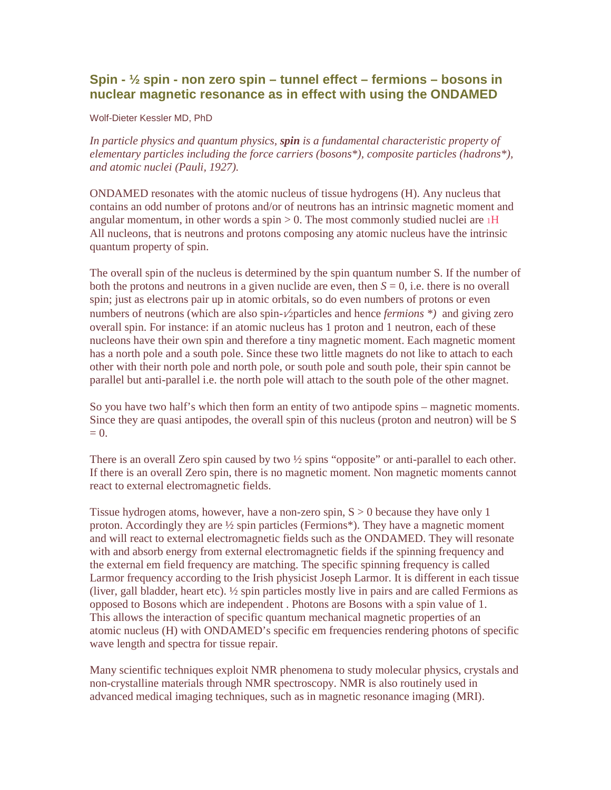# **Spin - ½ spin - non zero spin – tunnel effect – fermions – bosons in nuclear magnetic resonance as in effect with using the ONDAMED**

Wolf-Dieter Kessler MD, PhD

*In particle physics and quantum physics, spin is a fundamental characteristic property of elementary particles including the force carriers (bosons\*), composite particles (hadrons\*), and atomic nuclei (Pauli, 1927).* 

ONDAMED resonates with the atomic nucleus of tissue hydrogens (H). Any nucleus that contains an odd number of protons and/or of neutrons has an intrinsic magnetic moment and angular momentum, in other words a spin  $> 0$ . The most commonly studied nuclei are  $1H$ All nucleons, that is neutrons and protons composing any atomic nucleus have the intrinsic quantum property of spin.

The overall spin of the nucleus is determined by the spin quantum number S. If the number of both the protons and neutrons in a given nuclide are even, then  $S = 0$ , i.e. there is no overall spin; just as electrons pair up in atomic orbitals, so do even numbers of protons or even numbers of neutrons (which are also spin- $\sqrt{2}$  particles and hence *fermions* \*) and giving zero overall spin. For instance: if an atomic nucleus has 1 proton and 1 neutron, each of these nucleons have their own spin and therefore a tiny magnetic moment. Each magnetic moment has a north pole and a south pole. Since these two little magnets do not like to attach to each other with their north pole and north pole, or south pole and south pole, their spin cannot be parallel but anti-parallel i.e. the north pole will attach to the south pole of the other magnet.

So you have two half's which then form an entity of two antipode spins – magnetic moments. Since they are quasi antipodes, the overall spin of this nucleus (proton and neutron) will be S  $= 0.$ 

There is an overall Zero spin caused by two  $\frac{1}{2}$  spins "opposite" or anti-parallel to each other. If there is an overall Zero spin, there is no magnetic moment. Non magnetic moments cannot react to external electromagnetic fields.

Tissue hydrogen atoms, however, have a non-zero spin,  $S > 0$  because they have only 1 proton. Accordingly they are ½ spin particles (Fermions\*). They have a magnetic moment and will react to external electromagnetic fields such as the ONDAMED. They will resonate with and absorb energy from external electromagnetic fields if the spinning frequency and the external em field frequency are matching. The specific spinning frequency is called Larmor frequency according to the Irish physicist Joseph Larmor. It is different in each tissue (liver, gall bladder, heart etc). ½ spin particles mostly live in pairs and are called Fermions as opposed to Bosons which are independent . Photons are Bosons with a spin value of 1. This allows the interaction of specific quantum mechanical magnetic properties of an atomic nucleus (H) with ONDAMED's specific em frequencies rendering photons of specific wave length and spectra for tissue repair.

Many scientific techniques exploit NMR phenomena to study molecular physics, crystals and non-crystalline materials through NMR spectroscopy. NMR is also routinely used in advanced medical imaging techniques, such as in magnetic resonance imaging (MRI).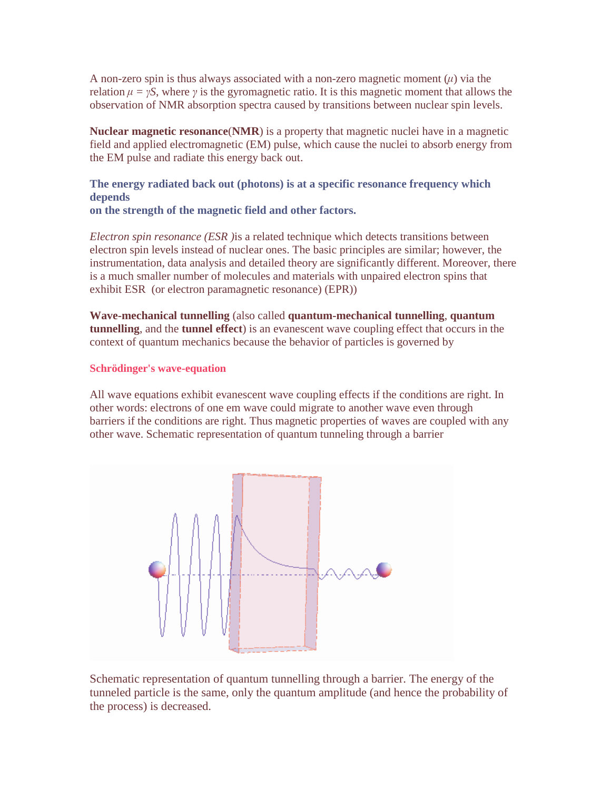A non-zero spin is thus always associated with a non-zero magnetic moment  $(\mu)$  via the relation  $\mu = \gamma S$ , where  $\gamma$  is the gyromagnetic ratio. It is this magnetic moment that allows the observation of NMR absorption spectra caused by transitions between nuclear spin levels.

**Nuclear magnetic resonance**(**NMR**) is a property that magnetic nuclei have in a magnetic field and applied electromagnetic (EM) pulse, which cause the nuclei to absorb energy from the EM pulse and radiate this energy back out.

**The energy radiated back out (photons) is at a specific resonance frequency which depends** 

**on the strength of the magnetic field and other factors.** 

*Electron spin resonance (ESR )*is a related technique which detects transitions between electron spin levels instead of nuclear ones. The basic principles are similar; however, the instrumentation, data analysis and detailed theory are significantly different. Moreover, there is a much smaller number of molecules and materials with unpaired electron spins that exhibit ESR (or electron paramagnetic resonance) (EPR))

**Wave-mechanical tunnelling** (also called **quantum-mechanical tunnelling**, **quantum tunnelling**, and the **tunnel effect**) is an evanescent wave coupling effect that occurs in the context of quantum mechanics because the behavior of particles is governed by

# **Schrödinger's wave-equation**

All wave equations exhibit evanescent wave coupling effects if the conditions are right. In other words: electrons of one em wave could migrate to another wave even through barriers if the conditions are right. Thus magnetic properties of waves are coupled with any other wave. Schematic representation of quantum tunneling through a barrier



Schematic representation of quantum tunnelling through a barrier. The energy of the tunneled particle is the same, only the quantum amplitude (and hence the probability of the process) is decreased.